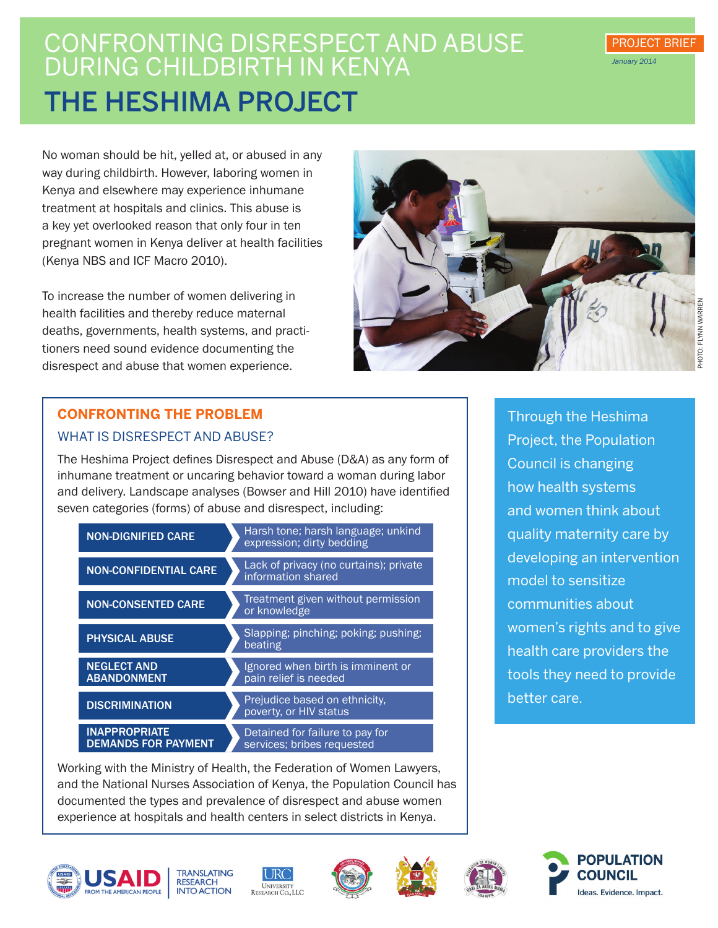# CONFRONTING DISRESPECT AND A DURING CHILDBIRTH IN KENYA The Heshima Project

No woman should be hit, yelled at, or abused in any way during childbirth. However, laboring women in Kenya and elsewhere may experience inhumane treatment at hospitals and clinics. This abuse is a key yet overlooked reason that only four in ten pregnant women in Kenya deliver at health facilities (Kenya NBS and ICF Macro 2010).

To increase the number of women delivering in health facilities and thereby reduce maternal deaths, governments, health systems, and practitioners need sound evidence documenting the disrespect and abuse that women experience.



# HOTO: FLYNN WARREN Photo: Flynn Warren

PROJECT BRIEF

*January 2014*

# **CONFRONTING THE PROBLEM**  WHAT IS DISRESPECT AND ABUSE?

The Heshima Project defines Disrespect and Abuse (D&A) as any form of inhumane treatment or uncaring behavior toward a woman during labor and delivery. Landscape analyses (Bowser and Hill 2010) have identified seven categories (forms) of abuse and disrespect, including:

| <b>NON-DIGNIFIED CARE</b>                          | Harsh tone; harsh language; unkind<br>expression; dirty bedding |
|----------------------------------------------------|-----------------------------------------------------------------|
| <b>NON-CONFIDENTIAL CARE</b>                       | Lack of privacy (no curtains); private<br>information shared    |
| <b>NON-CONSENTED CARE</b>                          | Treatment given without permission<br>or knowledge              |
| <b>PHYSICAL ABUSE</b>                              | Slapping; pinching; poking; pushing;<br>beating                 |
| <b>NEGLECT AND</b><br><b>ABANDONMENT</b>           | Ignored when birth is imminent or<br>pain relief is needed      |
| <b>DISCRIMINATION</b>                              | Prejudice based on ethnicity,<br>poverty, or <b>HIV</b> status  |
| <b>INAPPROPRIATE</b><br><b>DEMANDS FOR PAYMENT</b> | Detained for failure to pay for<br>services; bribes requested   |

Working with the Ministry of Health, the Federation of Women Lawyers, and the National Nurses Association of Kenya, the Population Council has documented the types and prevalence of disrespect and abuse women experience at hospitals and health centers in select districts in Kenya.















Through the Heshima Project, the Population Council is changing how health systems and women think about quality maternity care by developing an intervention model to sensitize communities about women's rights and to give health care providers the tools they need to provide better care.